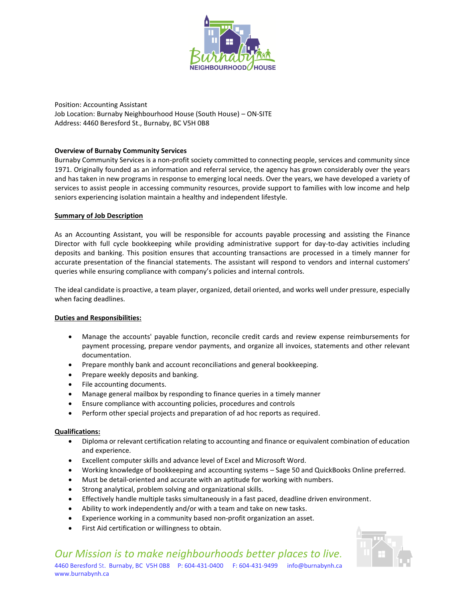

Position: Accounting Assistant Job Location: Burnaby Neighbourhood House (South House) – ON-SITE Address: 4460 Beresford St., Burnaby, BC V5H 0B8

# **Overview of Burnaby Community Services**

Burnaby Community Services is a non-profit society committed to connecting people, services and community since 1971. Originally founded as an information and referral service, the agency has grown considerably over the years and has taken in new programs in response to emerging local needs. Over the years, we have developed a variety of services to assist people in accessing community resources, provide support to families with low income and help seniors experiencing isolation maintain a healthy and independent lifestyle.

### **Summary of Job Description**

As an Accounting Assistant, you will be responsible for accounts payable processing and assisting the Finance Director with full cycle bookkeeping while providing administrative support for day-to-day activities including deposits and banking. This position ensures that accounting transactions are processed in a timely manner for accurate presentation of the financial statements. The assistant will respond to vendors and internal customers' queries while ensuring compliance with company's policies and internal controls.

The ideal candidate is proactive, a team player, organized, detail oriented, and works well under pressure, especially when facing deadlines.

# **Duties and Responsibilities:**

- Manage the accounts' payable function, reconcile credit cards and review expense reimbursements for payment processing, prepare vendor payments, and organize all invoices, statements and other relevant documentation.
- Prepare monthly bank and account reconciliations and general bookkeeping.
- Prepare weekly deposits and banking.
- File accounting documents.
- Manage general mailbox by responding to finance queries in a timely manner
- Ensure compliance with accounting policies, procedures and controls
- Perform other special projects and preparation of ad hoc reports as required.

# **Qualifications:**

- Diploma or relevant certification relating to accounting and finance or equivalent combination of education and experience.
- Excellent computer skills and advance level of Excel and Microsoft Word.
- Working knowledge of bookkeeping and accounting systems Sage 50 and QuickBooks Online preferred.
- Must be detail-oriented and accurate with an aptitude for working with numbers.
- Strong analytical, problem solving and organizational skills.
- Effectively handle multiple tasks simultaneously in a fast paced, deadline driven environment.
- Ability to work independently and/or with a team and take on new tasks.
- Experience working in a community based non-profit organization an asset.
- First Aid certification or willingness to obtain.